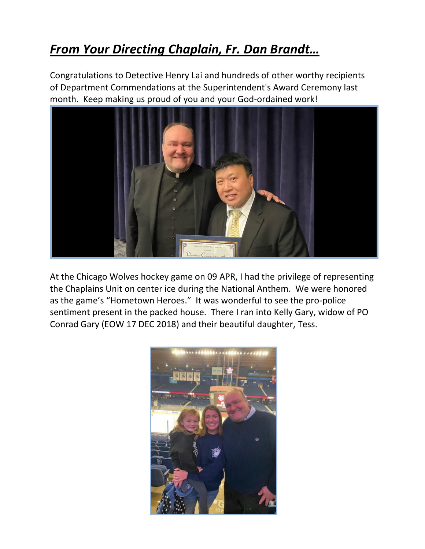## *From Your Directing Chaplain, Fr. Dan Brandt…*

Congratulations to Detective Henry Lai and hundreds of other worthy recipients of Department Commendations at the Superintendent's Award Ceremony last month. Keep making us proud of you and your God-ordained work!



At the Chicago Wolves hockey game on 09 APR, I had the privilege of representing the Chaplains Unit on center ice during the National Anthem. We were honored as the game's "Hometown Heroes." It was wonderful to see the pro-police sentiment present in the packed house. There I ran into Kelly Gary, widow of PO Conrad Gary (EOW 17 DEC 2018) and their beautiful daughter, Tess.

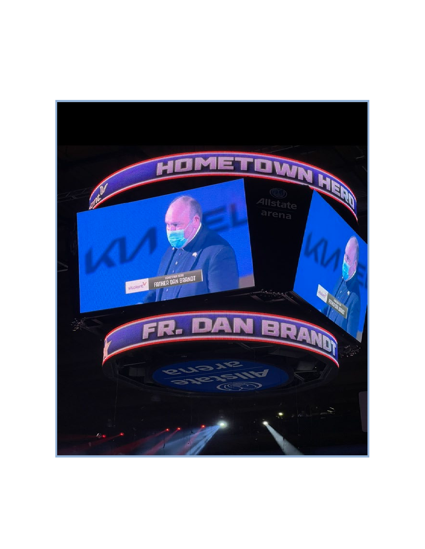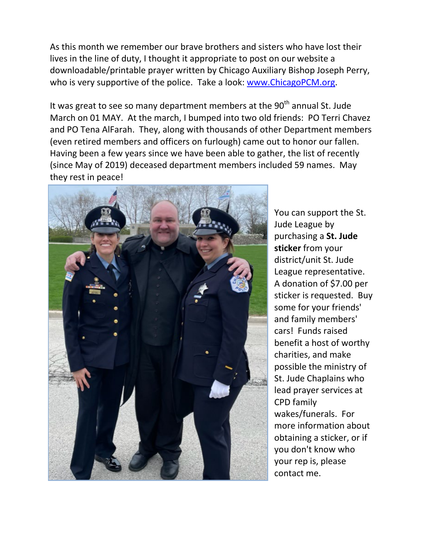As this month we remember our brave brothers and sisters who have lost their lives in the line of duty, I thought it appropriate to post on our website a downloadable/printable prayer written by Chicago Auxiliary Bishop Joseph Perry, who is very supportive of the police. Take a look: [www.ChicagoPCM.org.](http://www.chicagopcm.org/)

It was great to see so many department members at the 90<sup>th</sup> annual St. Jude March on 01 MAY. At the march, I bumped into two old friends: PO Terri Chavez and PO Tena AlFarah. They, along with thousands of other Department members (even retired members and officers on furlough) came out to honor our fallen. Having been a few years since we have been able to gather, the list of recently (since May of 2019) deceased department members included 59 names. May they rest in peace!



You can support the St. Jude League by purchasing a **St. Jude sticker** from your district/unit St. Jude League representative. A donation of \$7.00 per sticker is requested. Buy some for your friends' and family members' cars! Funds raised benefit a host of worthy charities, and make possible the ministry of St. Jude Chaplains who lead prayer services at CPD family wakes/funerals. For more information about obtaining a sticker, or if you don't know who your rep is, please contact me.